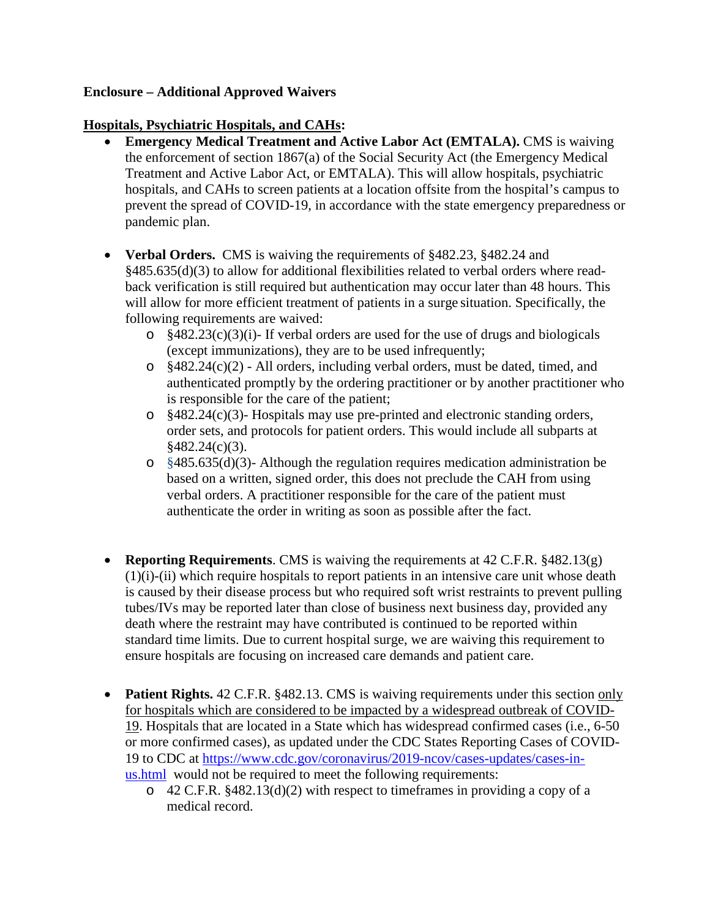#### **Enclosure – Additional Approved Waivers**

#### **Hospitals, Psychiatric Hospitals, and CAHs:**

- **Emergency Medical Treatment and Active Labor Act (EMTALA). CMS is waiving** the enforcement of section 1867(a) of the Social Security Act (the Emergency Medical Treatment and Active Labor Act, or EMTALA). This will allow hospitals, psychiatric hospitals, and CAHs to screen patients at a location offsite from the hospital's campus to prevent the spread of COVID-19, in accordance with the state emergency preparedness or pandemic plan.
- **Verbal Orders.** CMS is waiving the requirements of §482.23, §482.24 and §485.635(d)(3) to allow for additional flexibilities related to verbal orders where readback verification is still required but authentication may occur later than 48 hours. This will allow for more efficient treatment of patients in a surge situation. Specifically, the following requirements are waived:
	- $\degree$  §482.23(c)(3)(i)- If verbal orders are used for the use of drugs and biologicals (except immunizations), they are to be used infrequently;
	- $\circ$  §482.24(c)(2) All orders, including verbal orders, must be dated, timed, and authenticated promptly by the ordering practitioner or by another practitioner who is responsible for the care of the patient;
	- o §482.24(c)(3)- Hospitals may use pre-printed and electronic standing orders, order sets, and protocols for patient orders. This would include all subparts at §482.24(c)(3).
	- o §485.635(d)(3)- Although the regulation requires medication administration be based on a written, signed order, this does not preclude the CAH from using verbal orders. A practitioner responsible for the care of the patient must authenticate the order in writing as soon as possible after the fact.
- **Reporting Requirements**. CMS is waiving the requirements at 42 C.F.R. §482.13(g) (1)(i)-(ii) which require hospitals to report patients in an intensive care unit whose death is caused by their disease process but who required soft wrist restraints to prevent pulling tubes/IVs may be reported later than close of business next business day, provided any death where the restraint may have contributed is continued to be reported within standard time limits. Due to current hospital surge, we are waiving this requirement to ensure hospitals are focusing on increased care demands and patient care.
- **Patient Rights.** 42 C.F.R. §482.13. CMS is waiving requirements under this section only for hospitals which are considered to be impacted by a widespread outbreak of COVID-19. Hospitals that are located in a State which has widespread confirmed cases (i.e., 6-50 or more confirmed cases), as updated under the CDC States Reporting Cases of COVID-19 to CDC at [https://www.cdc.gov/coronavirus/2019-ncov/cases-updates/cases-in](https://www.cdc.gov/coronavirus/2019-ncov/cases-updates/cases-in-us.html)[us.html](https://www.cdc.gov/coronavirus/2019-ncov/cases-updates/cases-in-us.html) would not be required to meet the following requirements:
	- o 42 C.F.R. §482.13(d)(2) with respect to timeframes in providing a copy of a medical record.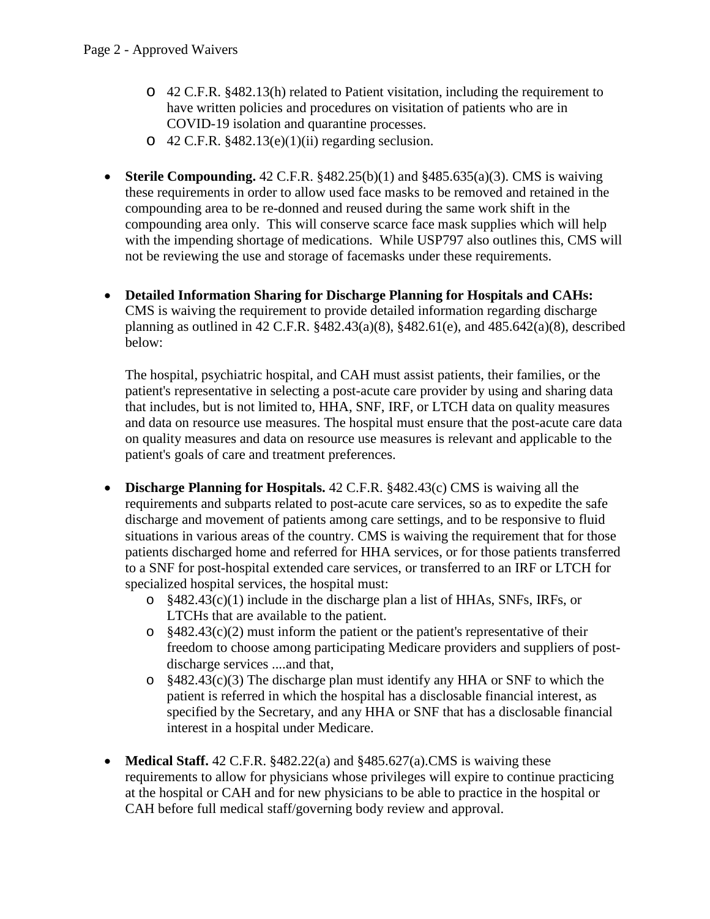- o 42 C.F.R. §482.13(h) related to Patient visitation, including the requirement to have written policies and procedures on visitation of patients who are in COVID-19 isolation and quarantine processes.
- $\degree$  42 C.F.R. §482.13(e)(1)(ii) regarding seclusion.
- **Sterile Compounding.** 42 C.F.R. §482.25(b)(1) and §485.635(a)(3). CMS is waiving these requirements in order to allow used face masks to be removed and retained in the compounding area to be re-donned and reused during the same work shift in the compounding area only. This will conserve scarce face mask supplies which will help with the impending shortage of medications. While USP797 also outlines this, CMS will not be reviewing the use and storage of facemasks under these requirements.
- **Detailed Information Sharing for Discharge Planning for Hospitals and CAHs:** CMS is waiving the requirement to provide detailed information regarding discharge planning as outlined in 42 C.F.R. §482.43(a)(8), §482.61(e), and 485.642(a)(8), described below:

The hospital, psychiatric hospital, and CAH must assist patients, their families, or the patient's representative in selecting a post-acute care provider by using and sharing data that includes, but is not limited to, HHA, SNF, IRF, or LTCH data on quality measures and data on resource use measures. The hospital must ensure that the post-acute care data on quality measures and data on resource use measures is relevant and applicable to the patient's goals of care and treatment preferences.

- **Discharge Planning for Hospitals.** 42 C.F.R. §482.43(c) CMS is waiving all the requirements and subparts related to post-acute care services, so as to expedite the safe discharge and movement of patients among care settings, and to be responsive to fluid situations in various areas of the country. CMS is waiving the requirement that for those patients discharged home and referred for HHA services, or for those patients transferred to a SNF for post-hospital extended care services, or transferred to an IRF or LTCH for specialized hospital services, the hospital must:
	- o §482.43(c)(1) include in the discharge plan a list of HHAs, SNFs, IRFs, or LTCHs that are available to the patient.
	- $\degree$  §482.43(c)(2) must inform the patient or the patient's representative of their freedom to choose among participating Medicare providers and suppliers of postdischarge services ....and that,
	- o §482.43(c)(3) The discharge plan must identify any HHA or SNF to which the patient is referred in which the hospital has a disclosable financial interest, as specified by the Secretary, and any HHA or SNF that has a disclosable financial interest in a hospital under Medicare.
- **Medical Staff.** 42 C.F.R. §482.22(a) and §485.627(a).CMS is waiving these requirements to allow for physicians whose privileges will expire to continue practicing at the hospital or CAH and for new physicians to be able to practice in the hospital or CAH before full medical staff/governing body review and approval.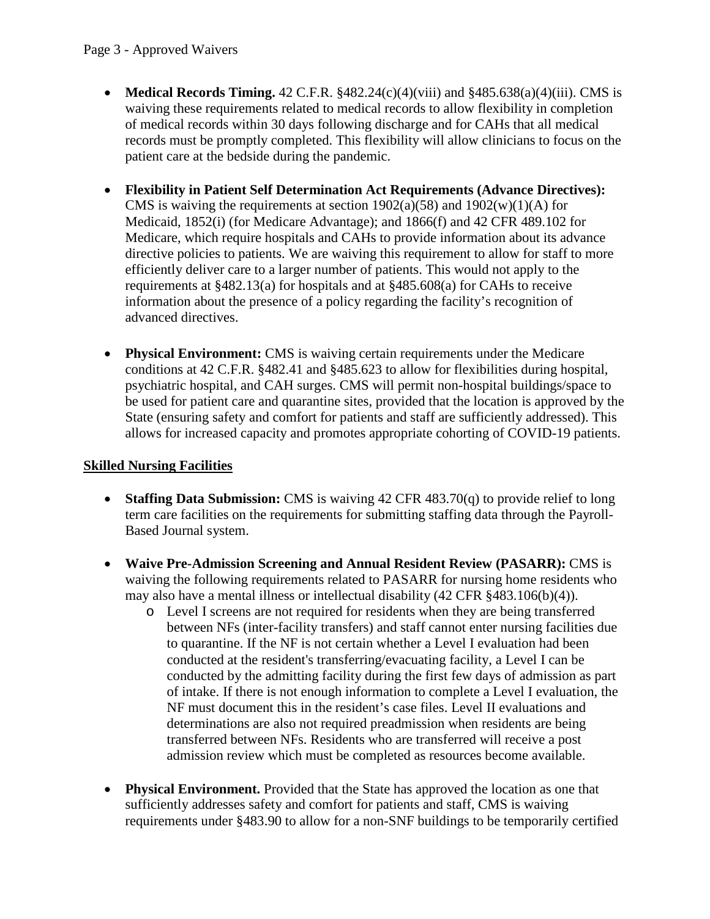- **Medical Records Timing.**  $42 \text{ C.F.R. }$   $\frac{8482.24(c)(4)(viii)}{48485.638(a)(4)(iii)}$ . CMS is waiving these requirements related to medical records to allow flexibility in completion of medical records within 30 days following discharge and for CAHs that all medical records must be promptly completed. This flexibility will allow clinicians to focus on the patient care at the bedside during the pandemic.
- **Flexibility in Patient Self Determination Act Requirements (Advance Directives):**  CMS is waiving the requirements at section  $1902(a)(58)$  and  $1902(w)(1)(A)$  for Medicaid, 1852(i) (for Medicare Advantage); and 1866(f) and 42 CFR 489.102 for Medicare, which require hospitals and CAHs to provide information about its advance directive policies to patients. We are waiving this requirement to allow for staff to more efficiently deliver care to a larger number of patients. This would not apply to the requirements at §482.13(a) for hospitals and at §485.608(a) for CAHs to receive information about the presence of a policy regarding the facility's recognition of advanced directives.
- **Physical Environment:** CMS is waiving certain requirements under the Medicare conditions at 42 C.F.R. §482.41 and §485.623 to allow for flexibilities during hospital, psychiatric hospital, and CAH surges. CMS will permit non-hospital buildings/space to be used for patient care and quarantine sites, provided that the location is approved by the State (ensuring safety and comfort for patients and staff are sufficiently addressed). This allows for increased capacity and promotes appropriate cohorting of COVID-19 patients.

# **Skilled Nursing Facilities**

- **Staffing Data Submission:** CMS is waiving 42 CFR 483.70(q) to provide relief to long term care facilities on the requirements for submitting staffing data through the Payroll-Based Journal system.
- **Waive Pre-Admission Screening and Annual Resident Review (PASARR):** CMS is waiving the following requirements related to PASARR for nursing home residents who may also have a mental illness or intellectual disability (42 CFR §483.106(b)(4)).
	- o Level I screens are not required for residents when they are being transferred between NFs (inter-facility transfers) and staff cannot enter nursing facilities due to quarantine. If the NF is not certain whether a Level I evaluation had been conducted at the resident's transferring/evacuating facility, a Level I can be conducted by the admitting facility during the first few days of admission as part of intake. If there is not enough information to complete a Level I evaluation, the NF must document this in the resident's case files. Level II evaluations and determinations are also not required preadmission when residents are being transferred between NFs. Residents who are transferred will receive a post admission review which must be completed as resources become available.
- **Physical Environment.** Provided that the State has approved the location as one that sufficiently addresses safety and comfort for patients and staff, CMS is waiving requirements under §483.90 to allow for a non-SNF buildings to be temporarily certified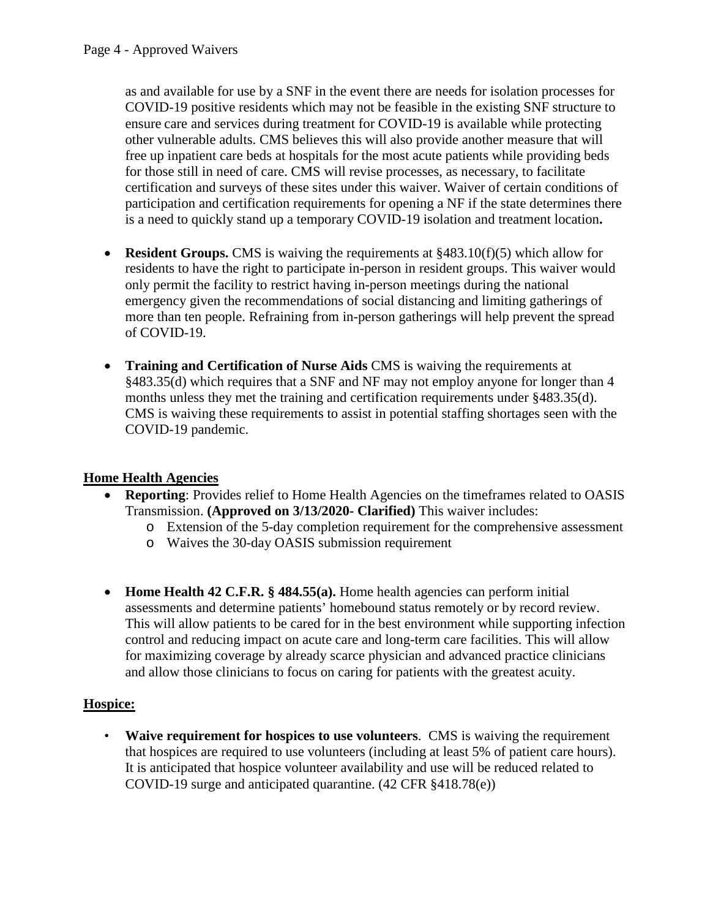as and available for use by a SNF in the event there are needs for isolation processes for COVID-19 positive residents which may not be feasible in the existing SNF structure to ensure care and services during treatment for COVID-19 is available while protecting other vulnerable adults. CMS believes this will also provide another measure that will free up inpatient care beds at hospitals for the most acute patients while providing beds for those still in need of care. CMS will revise processes, as necessary, to facilitate certification and surveys of these sites under this waiver. Waiver of certain conditions of participation and certification requirements for opening a NF if the state determines there is a need to quickly stand up a temporary COVID-19 isolation and treatment location**.**

- **Resident Groups.** CMS is waiving the requirements at §483.10(f)(5) which allow for residents to have the right to participate in-person in resident groups. This waiver would only permit the facility to restrict having in-person meetings during the national emergency given the recommendations of social distancing and limiting gatherings of more than ten people. Refraining from in-person gatherings will help prevent the spread of COVID-19.
- **Training and Certification of Nurse Aids** CMS is waiving the requirements at §483.35(d) which requires that a SNF and NF may not employ anyone for longer than 4 months unless they met the training and certification requirements under §483.35(d). CMS is waiving these requirements to assist in potential staffing shortages seen with the COVID-19 pandemic.

## **Home Health Agencies**

- **Reporting**: Provides relief to Home Health Agencies on the timeframes related to OASIS Transmission. **(Approved on 3/13/2020- Clarified)** This waiver includes:
	- o Extension of the 5-day completion requirement for the comprehensive assessment
	- o Waives the 30-day OASIS submission requirement
- **Home Health 42 C.F.R. § 484.55(a).** Home health agencies can perform initial assessments and determine patients' homebound status remotely or by record review. This will allow patients to be cared for in the best environment while supporting infection control and reducing impact on acute care and long-term care facilities. This will allow for maximizing coverage by already scarce physician and advanced practice clinicians and allow those clinicians to focus on caring for patients with the greatest acuity.

### **Hospice:**

• **Waive requirement for hospices to use volunteers**. CMS is waiving the requirement that hospices are required to use volunteers (including at least 5% of patient care hours). It is anticipated that hospice volunteer availability and use will be reduced related to COVID-19 surge and anticipated quarantine. (42 CFR §418.78(e))